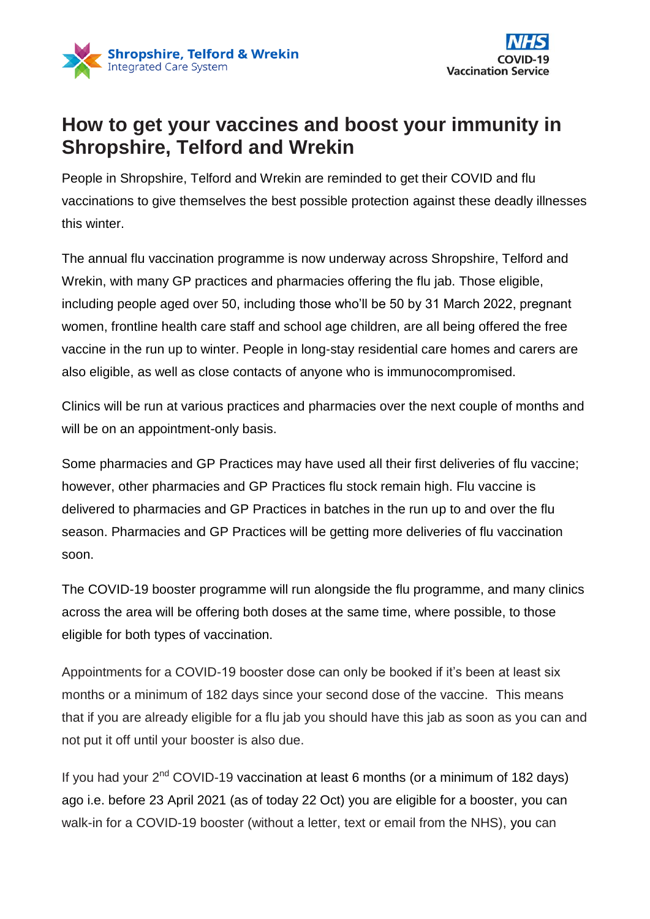



## **How to get your vaccines and boost your immunity in Shropshire, Telford and Wrekin**

People in Shropshire, Telford and Wrekin are reminded to get their COVID and flu vaccinations to give themselves the best possible protection against these deadly illnesses this winter.

The annual flu vaccination programme is now underway across Shropshire, Telford and Wrekin, with many GP practices and pharmacies offering the flu jab. Those eligible, including people aged over 50, including those who'll be 50 by 31 March 2022, pregnant women, frontline health care staff and school age children, are all being offered the free vaccine in the run up to winter. People in long-stay residential care homes and carers are also eligible, as well as close contacts of anyone who is immunocompromised.

Clinics will be run at various practices and pharmacies over the next couple of months and will be on an appointment-only basis.

Some pharmacies and GP Practices may have used all their first deliveries of flu vaccine; however, other pharmacies and GP Practices flu stock remain high. Flu vaccine is delivered to pharmacies and GP Practices in batches in the run up to and over the flu season. Pharmacies and GP Practices will be getting more deliveries of flu vaccination soon.

The COVID-19 booster programme will run alongside the flu programme, and many clinics across the area will be offering both doses at the same time, where possible, to those eligible for both types of vaccination.

Appointments for a COVID-19 booster dose can only be booked if it's been at least six months or a minimum of 182 days since your second dose of the vaccine. This means that if you are already eligible for a flu jab you should have this jab as soon as you can and not put it off until your booster is also due.

If you had your  $2^{nd}$  COVID-19 vaccination at least 6 months (or a minimum of 182 days) ago i.e. before 23 April 2021 (as of today 22 Oct) you are eligible for a booster, you can walk-in for a COVID-19 booster (without a letter, text or email from the NHS), you can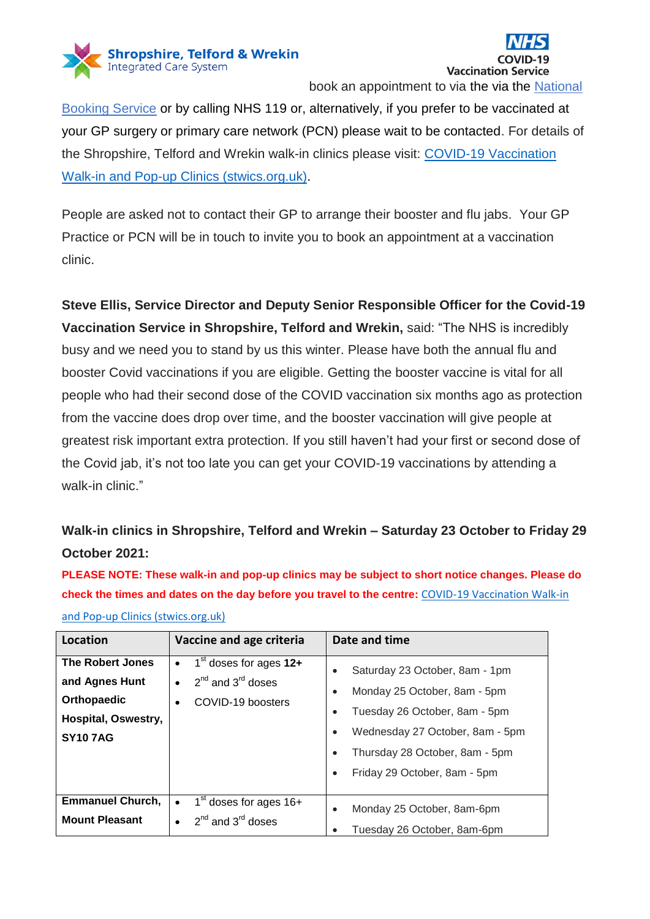



[Booking Service](https://www.nhs.uk/conditions/coronavirus-covid-19/coronavirus-vaccination/book-coronavirus-vaccination/book-or-manage-a-booster-dose-of-the-coronavirus-covid-19-vaccine/) or by calling NHS 119 or, alternatively, if you prefer to be vaccinated at your GP surgery or primary care network (PCN) please wait to be contacted. For details of the Shropshire, Telford and Wrekin walk-in clinics please visit: [COVID-19 Vaccination](https://stwics.org.uk/our-priorities/covid-19-vaccination-programme/walk-in-clinic-times)  [Walk-in and Pop-up Clinics \(stwics.org.uk\).](https://stwics.org.uk/our-priorities/covid-19-vaccination-programme/walk-in-clinic-times)

People are asked not to contact their GP to arrange their booster and flu jabs. Your GP Practice or PCN will be in touch to invite you to book an appointment at a vaccination clinic.

**Steve Ellis, Service Director and Deputy Senior Responsible Officer for the Covid-19 Vaccination Service in Shropshire, Telford and Wrekin,** said: "The NHS is incredibly busy and we need you to stand by us this winter. Please have both the annual flu and booster Covid vaccinations if you are eligible. Getting the booster vaccine is vital for all people who had their second dose of the COVID vaccination six months ago as protection from the vaccine does drop over time, and the booster vaccination will give people at greatest risk important extra protection. If you still haven't had your first or second dose of the Covid jab, it's not too late you can get your COVID-19 vaccinations by attending a walk-in clinic."

## **Walk-in clinics in Shropshire, Telford and Wrekin – Saturday 23 October to Friday 29 October 2021:**

**PLEASE NOTE: These walk-in and pop-up clinics may be subject to short notice changes. Please do check the times and dates on the day before you travel to the centre:** [COVID-19 Vaccination Walk-in](https://stwics.org.uk/our-priorities/covid-19-vaccination-programme/walk-in-clinic-times)  [and Pop-up Clinics \(stwics.org.uk\)](https://stwics.org.uk/our-priorities/covid-19-vaccination-programme/walk-in-clinic-times)

| Location                                                                                          | Vaccine and age criteria                                                                                      | Date and time                                                                                                                                                                                                                                                         |
|---------------------------------------------------------------------------------------------------|---------------------------------------------------------------------------------------------------------------|-----------------------------------------------------------------------------------------------------------------------------------------------------------------------------------------------------------------------------------------------------------------------|
| <b>The Robert Jones</b><br>and Agnes Hunt<br>Orthopaedic<br>Hospital, Oswestry,<br><b>SY107AG</b> | $1st$ doses for ages $12+$<br>$\bullet$<br>$2^{nd}$ and $3^{rd}$ doses<br>$\bullet$<br>COVID-19 boosters<br>٠ | Saturday 23 October, 8am - 1pm<br>Monday 25 October, 8am - 5pm<br>$\bullet$<br>Tuesday 26 October, 8am - 5pm<br>$\bullet$<br>Wednesday 27 October, 8am - 5pm<br>$\bullet$<br>Thursday 28 October, 8am - 5pm<br>$\bullet$<br>Friday 29 October, 8am - 5pm<br>$\bullet$ |
| <b>Emmanuel Church,</b><br><b>Mount Pleasant</b>                                                  | $1st$ doses for ages $16+$<br>$\bullet$<br>$2^{nd}$ and $3^{rd}$ doses                                        | Monday 25 October, 8am-6pm<br>$\bullet$<br>Tuesday 26 October, 8am-6pm<br>$\bullet$                                                                                                                                                                                   |